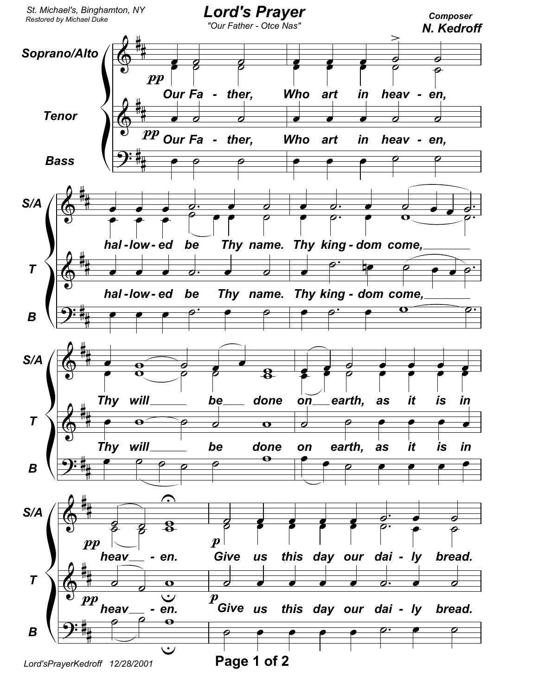